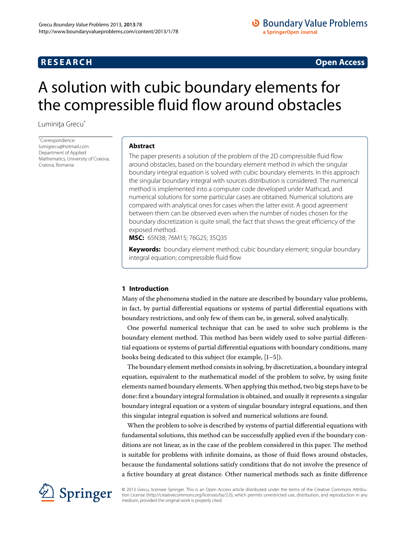## **RESEARCH CONSTRUCTER IN A RESEARCH CONSTRUCTER IN A RESEARCH**

# <span id="page-0-0"></span>A solution with cubic boundary elements for the compressible fluid flow around obstacles

Luminița Grecu<sup>[\\*](#page-0-0)</sup>

\* Correspondence: [lumigrecu@hotmail.com](mailto:lumigrecu@hotmail.com) Department of Applied Mathematics, University of Craiova, Craiova, Romania

#### **Abstract**

The paper presents a solution of the problem of the 2D compressible fluid flow around obstacles, based on the boundary element method in which the singular boundary integral equation is solved with cubic boundary elements. In this approach the singular boundary integral with sources distribution is considered. The numerical method is implemented into a computer code developed under Mathcad, and numerical solutions for some particular cases are obtained. Numerical solutions are compared with analytical ones for cases when the latter exist. A good agreement between them can be observed even when the number of nodes chosen for the boundary discretization is quite small, the fact that shows the great efficiency of the exposed method.

**MSC:** 65N38; 76M15; 76G25; 35Q35

**Keywords:** boundary element method; cubic boundary element; singular boundary integral equation; compressible fluid flow

#### **1 Introduction**

Many of the phenomena studied in the nature are described by boundary value problems, in fact, by partial differential equations or systems of partial differential equations with boundary restrictions, and only few of them can be, in general, solved analytically.

One powerful numerical technique that can be used to solve such problems is the boundary element method. This method has been widely used to solve partial differential equations or systems of partial differential equations with boundary conditions, many books being dedicated to this subject (for example,  $[1-5]$  $[1-5]$ ).

The boundary element method consists in solving, by discretization, a boundary integral equation, equivalent to the mathematical model of the problem to solve, by using finite elements named boundary elements. When applying this method, two big steps have to be done: first a boundary integral formulation is obtained, and usually it represents a singular boundary integral equation or a system of singular boundary integral equations, and then this singular integral equation is solved and numerical solutions are found.

When the problem to solve is described by systems of partial differential equations with fundamental solutions, this method can be successfully applied even if the boundary conditions are not linear, as in the case of the problem considered in this paper. The method is suitable for problems with infinite domains, as those of fluid flows around obstacles, because the fundamental solutions satisfy conditions that do not involve the presence of a fictive boundary at great distance. Other numerical methods such as finite difference



© 2013 Grecu; licensee Springer. This is an Open Access article distributed under the terms of the Creative Commons Attribution License ([http://creativecommons.org/licenses/by/2.0\)](http://creativecommons.org/licenses/by/2.0), which permits unrestricted use, distribution, and reproduction in any medium, provided the original work is properly cited.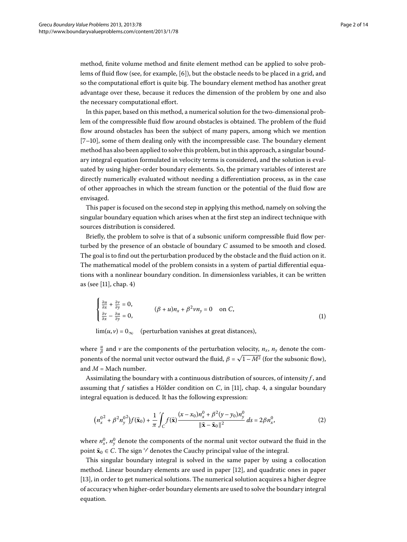method, finite volume method and finite element method can be applied to solve problems of fluid flow (see, for example,  $[6]$  $[6]$ ), but the obstacle needs to be placed in a grid, and so the computational effort is quite big. The boundary element method has another great advantage over these, because it reduces the dimension of the problem by one and also the necessary computational effort.

In this paper, based on this method, a numerical solution for the two-dimensional problem of the compressible fluid flow around obstacles is obtained. The problem of the fluid flow around obstacles has been the subject of many papers, among which we mention  $[7-10]$  $[7-10]$ , some of them dealing only with the incompressible case. The boundary element method has also been applied to solve this problem, but in this approach, a singular boundary integral equation formulated in velocity terms is considered, and the solution is evaluated by using higher-order boundary elements. So, the primary variables of interest are directly numerically evaluated without needing a differentiation process, as in the case of other approaches in which the stream function or the potential of the fluid flow are envisaged.

This paper is focused on the second step in applying this method, namely on solving the singular boundary equation which arises when at the first step an indirect technique with sources distribution is considered.

Briefly, the problem to solve is that of a subsonic uniform compressible fluid flow perturbed by the presence of an obstacle of boundary *C* assumed to be smooth and closed. The goal is to find out the perturbation produced by the obstacle and the fluid action on it. The mathematical model of the problem consists in a system of partial differential equations with a nonlinear boundary condition. In dimensionless variables, it can be written as (see  $[11]$  $[11]$ , chap. 4)

$$
\begin{cases} \frac{\partial u}{\partial x} + \frac{\partial v}{\partial y} = 0, \\ \frac{\partial v}{\partial x} - \frac{\partial u}{\partial y} = 0, \end{cases} \qquad (\beta + u)n_x + \beta^2 \nu n_y = 0 \quad \text{on } C,
$$
 (1)

<span id="page-1-0"></span> $\lim(u, v) = 0_{\infty}$  (perturbation vanishes at great distances),

where  $\frac{u}{\beta}$  and *v* are the components of the perturbation velocity,  $n_x$ ,  $n_y$  denote the components of the normal unit vector outward the fluid,  $\beta = \sqrt{1 - M^2}$  (for the subsonic flow), and  $M =$  Mach number.

Assimilating the boundary with a continuous distribution of sources, of intensity *f* , and assuming that  $f$  satisfies a Hölder condition on  $C$ , in [11], chap. 4, a singular boundary integral equation is deduced. It has the following expression:

$$
\left(n_x^{0^2} + \beta^2 n_y^{0^2}\right) f(\bar{\mathbf{x}}_0) + \frac{1}{\pi} \int_C f(\bar{\mathbf{x}}) \frac{(x - x_0) n_x^0 + \beta^2 (y - y_0) n_y^0}{\|\bar{\mathbf{x}} - \bar{\mathbf{x}}_0\|^2} ds = 2\beta n_x^0,
$$
\n(2)

where  $n_x^0$ ,  $n_y^0$  denote the components of the normal unit vector outward the fluid in the point  $\bar{\mathbf{x}}_0 \in C$ . The sign '' denotes the Cauchy principal value of the integral.

This singular boundary integral is solved in the same paper by using a collocation method. Linear boundary elements are used in paper [12[\]](#page-12-6), and quadratic ones in paper [13[\]](#page-12-7), in order to get numerical solutions. The numerical solution acquires a higher degree of accuracy when higher-order boundary elements are used to solve the boundary integral equation.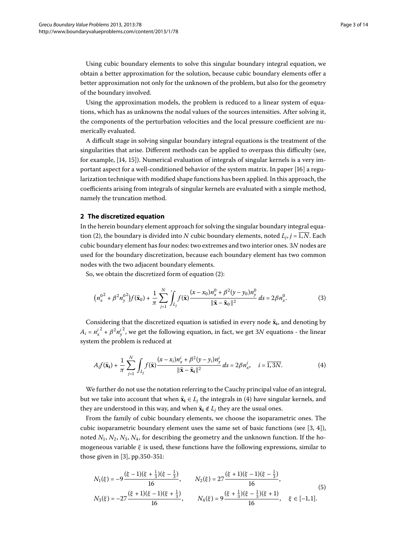Using cubic boundary elements to solve this singular boundary integral equation, we obtain a better approximation for the solution, because cubic boundary elements offer a better approximation not only for the unknown of the problem, but also for the geometry of the boundary involved.

Using the approximation models, the problem is reduced to a linear system of equations, which has as unknowns the nodal values of the sources intensities. After solving it, the components of the perturbation velocities and the local pressure coefficient are numerically evaluated.

A difficult stage in solving singular boundary integral equations is the treatment of the singularities that arise. Different methods can be applied to overpass this difficulty (see, for example,  $[14, 15]$  $[14, 15]$ . Numerical evaluation of integrals of singular kernels is a very im-portant aspect for a well-conditioned behavior of the system matrix. In paper [\[](#page-13-0)16] a regularization technique with modified shape functions has been applied. In this approach, the coefficients arising from integrals of singular kernels are evaluated with a simple method, namely the truncation method.

#### **2 The discretized equation**

In the herein boundary element approach for solving the singular boundary integral equa-tion [\(](#page-1-0)2), the boundary is divided into *N* cubic boundary elements, noted  $L_i$ ,  $j = \overline{1, N}$ . Each cubic boundary element has four nodes: two extremes and two interior ones. *N* nodes are used for the boundary discretization, because each boundary element has two common nodes with the two adjacent boundary elements.

So, we obtain the discretized form of equation  $(2)$  $(2)$ :

<span id="page-2-0"></span>
$$
\left(n_x^{0^2} + \beta^2 n_y^{0^2}\right) f(\bar{\mathbf{x}}_0) + \frac{1}{\pi} \sum_{j=1}^N \int_{L_j} f(\bar{\mathbf{x}}) \frac{(x - x_0) n_x^0 + \beta^2 (y - y_0) n_y^0}{\|\bar{\mathbf{x}} - \bar{\mathbf{x}}_0\|^2} ds = 2\beta n_x^0. \tag{3}
$$

Considering that the discretized equation is satisfied in every node  $\bar{x}_i$ , and denoting by  $A_i = n_x^{i^2} + \beta^2 n_y^i$  $^{2}$ , we get the following equation, in fact, we get 3N equations - the linear system the problem is reduced at

$$
A_{i}f(\bar{\mathbf{x}}_{i}) + \frac{1}{\pi} \sum_{j=1}^{N} \int_{L_{j}} f(\bar{\mathbf{x}}) \frac{(x - x_{i})n_{x}^{i} + \beta^{2}(y - y_{i})n_{y}^{i}}{\|\bar{\mathbf{x}} - \bar{\mathbf{x}}_{i}\|^{2}} ds = 2\beta n_{x}^{i}, \quad i = \overline{1, 3N}.
$$
 (4)

We further do not use the notation referring to the Cauchy principal value of an integral, but we take into account that when  $\bar{\mathbf{x}}_i \in L_i$  the integrals in [\(](#page-2-0)4) have singular kernels, and they are understood in this way, and when  $\bar{\mathbf{x}}_i \notin L_i$  they are the usual ones.

<span id="page-2-1"></span>From the family of cubic boundary elements, we choose the isoparametric ones. The cubic isoparametric boundary element uses the same set of basic functions (see  $[3, 4]$  $[3, 4]$  $[3, 4]$ ), noted  $N_1$ ,  $N_2$ ,  $N_3$ ,  $N_4$ , for describing the geometry and the unknown function. If the homogeneous variable *ξ* is used, these functions have the following expressions, similar to those given in  $[3]$  $[3]$ , pp.350-351:

$$
N_1(\xi) = -9 \frac{(\xi - 1)(\xi + \frac{1}{3})(\xi - \frac{1}{3})}{16}, \qquad N_2(\xi) = 27 \frac{(\xi + 1)(\xi - 1)(\xi - \frac{1}{3})}{16},
$$
  
\n
$$
N_3(\xi) = -27 \frac{(\xi + 1)(\xi - 1)(\xi + \frac{1}{3})}{16}, \qquad N_4(\xi) = 9 \frac{(\xi + \frac{1}{3})(\xi - \frac{1}{3})(\xi + 1)}{16}, \quad \xi \in [-1, 1].
$$
\n(5)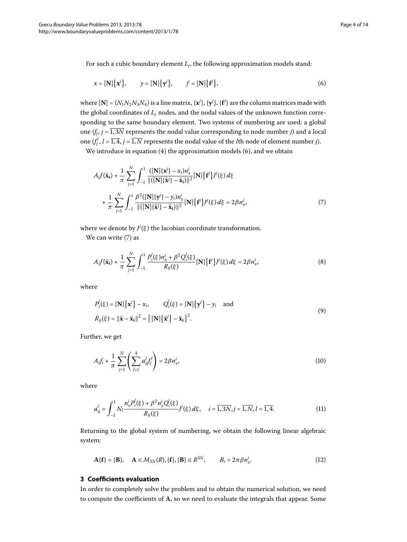For such a cubic boundary element *Lj*, the following approximation models stand:

<span id="page-3-0"></span>
$$
x = [\mathbf{N}] {\mathbf{x}^{j}}, \qquad y = [\mathbf{N}] {\mathbf{y}^{j}}, \qquad f = [\mathbf{N}] {\mathbf{f}^{j}}, \qquad (6)
$$

where  $[N] = (N_1N_2N_3N_4)$  is a line matrix,  $\{\mathbf{x}^j\}$ ,  $\{\mathbf{y}^j\}$ ,  $\{\mathbf{f}^j\}$  are the column matrices made with the global coordinates of *Lj* nodes, and the nodal values of the unknown function corresponding to the same boundary element. Two systems of numbering are used: a global one  $(f_i, j = \overline{1, 3N}$  represents the nodal value corresponding to node number *j*) and a local one  $(f_l^j, l = \overline{1, 4}, j = \overline{1, N}$  represents the nodal value of the *l*th node of element number *j*).

We introduce in equation  $(4)$  $(4)$  the approximation models  $(6)$ , and we obtain

<span id="page-3-1"></span>
$$
A_{i}f(\bar{\mathbf{x}}_{i}) + \frac{1}{\pi} \sum_{j=1}^{N} \int_{-1}^{1} \frac{([\mathbf{N}]\{\mathbf{x}^{j}\} - x_{i})n_{x}^{i}}{\|([\mathbf{N}]\{\bar{\mathbf{x}}^{j}\} - \bar{\mathbf{x}}_{i})\|^{2}} [\mathbf{N}]\{\mathbf{f}^{j}\}j^{j}(\xi) d\xi
$$
  
+ 
$$
\frac{1}{\pi} \sum_{j=1}^{N} \int_{-1}^{1} \frac{\beta^{2}([\mathbf{N}]\{\mathbf{y}^{j}\} - y_{i})n_{y}^{i}}{\|([\mathbf{N}]\{\bar{\mathbf{x}}^{j}\} - \bar{\mathbf{x}}_{i})\|^{2}} [\mathbf{N}]\{\mathbf{f}^{j}\}j^{j}(\xi) d\xi = 2\beta n_{x}^{i}, \tag{7}
$$

where we denote by  $J^j(\xi)$  the Jacobian coordinate transformation.

We can write  $(7)$  $(7)$  as

<span id="page-3-2"></span>
$$
A_{i} f(\bar{\mathbf{x}}_{i}) + \frac{1}{\pi} \sum_{j=1}^{N} \int_{-1}^{1} \frac{P_{i}^{j}(\xi) n_{x}^{i} + \beta^{2} Q_{i}^{j}(\xi)}{R_{ij}(\xi)} [\mathbf{N}] \{f^{j}\} J^{j}(\xi) d\xi = 2\beta n_{x}^{i},
$$
\n(8)

where

$$
P_i^j(\xi) = [\mathbf{N}] {\mathbf{x}^j} - x_i, \qquad Q_i^j(\xi) = [\mathbf{N}] {\mathbf{y}^j} - y_i \text{ and}
$$
  
\n
$$
R_{ij}(\xi) = ||\bar{\mathbf{x}} - \bar{\mathbf{x}}_i||^2 = ||[\mathbf{N}] {\bar{\mathbf{x}^j}} - \bar{\mathbf{x}}_i||^2.
$$
\n(9)

Further, we get

<span id="page-3-3"></span>
$$
A_i f_i + \frac{1}{\pi} \sum_{j=1}^N \left( \sum_{l=1}^4 a_{ij}^l f_l^j \right) = 2\beta n_x^i, \tag{10}
$$

where

$$
a_{ij}^l = \int_{-1}^1 N_l \frac{n_x^i P_i^j(\xi) + \beta^2 n_y^i Q_i^j(\xi)}{R_{ij}(\xi)} J^j(\xi) d\xi, \quad i = \overline{1, 3N}, j = \overline{1, N}, l = \overline{1, 4}.
$$
 (11)

Returning to the global system of numbering, we obtain the following linear algebraic system:

$$
\mathbf{A}\{\mathbf{f}\} = \{\mathbf{B}\}, \quad \mathbf{A} \in M_{3N}(R), \{\mathbf{f}\}, \{\mathbf{B}\} \in R^{3N}, \qquad B_i = 2\pi \beta n_x^i. \tag{12}
$$

#### **3 Coefficients evaluation**

In order to completely solve the problem and to obtain the numerical solution, we need to compute the coefficients of **A**, so we need to evaluate the integrals that appear. Some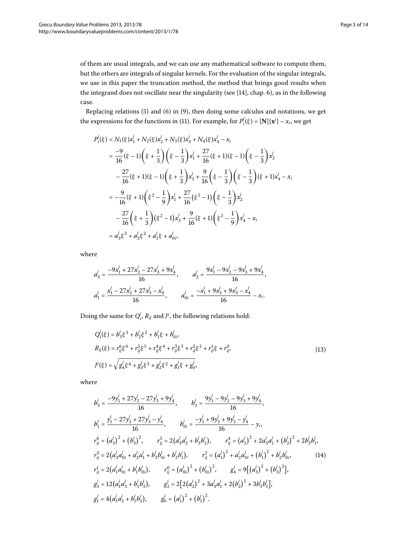of them are usual integrals, and we can use any mathematical software to compute them, but the others are integrals of singular kernels. For the evaluation of the singular integrals, we use in this paper the truncation method, the method that brings good results when the integrand does not oscillate near the singularity (see  $[14]$  $[14]$ , chap. 6), as in the following case.

Replacing relations (5[\)](#page-3-2) and (6) in (9), then doing some calculus and notations, we get the expressions for the functions in (11). For example, for  $P_i^j(\xi) = [\mathbf{N}]\{\mathbf{x}^j\} - x_i$ , we get

$$
P'_{i}(\xi) = N_{1}(\xi)x'_{1} + N_{2}(\xi)x'_{2} + N_{3}(\xi)x'_{3} + N_{4}(\xi)x'_{4} - x_{i}
$$
\n
$$
= \frac{-9}{16}(\xi - 1)\left(\xi + \frac{1}{3}\right)\left(\xi - \frac{1}{3}\right)x'_{1} + \frac{27}{16}(\xi + 1)(\xi - 1)\left(\xi - \frac{1}{3}\right)x'_{2}
$$
\n
$$
- \frac{27}{16}(\xi + 1)(\xi - 1)\left(\xi + \frac{1}{3}\right)x'_{3} + \frac{9}{16}(\xi - \frac{1}{3})\left(\xi - \frac{1}{3}\right)(\xi + 1)x'_{4} - x_{i}
$$
\n
$$
= -\frac{9}{16}(\xi + 1)\left(\xi^{2} - \frac{1}{9}\right)x'_{1} + \frac{27}{16}(\xi^{2} - 1)\left(\xi - \frac{1}{3}\right)x'_{2}
$$
\n
$$
- \frac{27}{16}(\xi + \frac{1}{3})(\xi^{2} - 1)x'_{3} + \frac{9}{16}(\xi + 1)\left(\xi^{2} - \frac{1}{9}\right)x'_{4} - x_{i}
$$
\n
$$
= d'_{3}\xi^{3} + d'_{2}\xi^{2} + d'_{1}\xi + d'_{0i},
$$

where

<span id="page-4-0"></span>
$$
a_3^j = \frac{-9x_1^j + 27x_2^j - 27x_3^j + 9x_4^j}{16}, \qquad a_2^j = \frac{9x_1^j - 9x_2^j - 9x_3^j + 9x_4^j}{16},
$$
  

$$
a_1^j = \frac{x_1^j - 27x_2^j + 27x_3^j - x_4^j}{16}, \qquad a_{0i}^j = \frac{-x_1^j + 9x_2^j + 9x_3^j - x_4^j}{16} - x_i.
$$

Doing the same for  $Q^j_i$ ,  $R_{ij}$  and  $J^j$ , the following relations hold:

$$
Q_{i}^{j}(\xi) = b_{3}^{j} \xi^{3} + b_{2}^{j} \xi^{2} + b_{1}^{j} \xi + b_{0i}^{j},
$$
  
\n
$$
R_{ij}(\xi) = r_{ij}^{6} \xi^{6} + r_{ij}^{5} \xi^{5} + r_{ij}^{4} \xi^{4} + r_{ij}^{3} \xi^{3} + r_{ij}^{2} \xi^{2} + r_{ij}^{1} \xi + r_{ij}^{0},
$$
  
\n
$$
J^{j}(\xi) = \sqrt{g_{4}^{j} \xi^{4} + g_{3}^{j} \xi^{3} + g_{2}^{j} \xi^{2} + g_{1}^{j} \xi + g_{0}^{j}},
$$
\n(13)

where

<span id="page-4-1"></span>
$$
b'_{3} = \frac{-9y'_{1} + 27y'_{2} - 27y'_{3} + 9y'_{4}}{16}, \t b'_{2} = \frac{9y'_{1} - 9y'_{2} - 9y'_{3} + 9y'_{4}}{16},
$$
  
\n
$$
b'_{1} = \frac{y'_{1} - 27y'_{2} + 27y'_{3} - y'_{4}}{16}, \t b'_{0i} = \frac{-y'_{1} + 9y'_{2} + 9y'_{3} - y'_{4}}{16} - y_{i},
$$
  
\n
$$
r_{ij}^{6} = (a'_{3})^{2} + (b'_{3})^{2}, \t r_{ij}^{5} = 2(a'_{3}a'_{2} + b'_{3}b'_{2}), \t r_{ij}^{4} = (a'_{2})^{2} + 2a'_{3}a'_{1} + (b'_{2})^{2} + 2b'_{3}b'_{1},
$$
  
\n
$$
r_{ij}^{3} = 2(a'_{3}a'_{0i} + a'_{2}a'_{1} + b'_{3}b'_{0i} + b'_{2}b'_{1}), \t r_{ij}^{2} = (a'_{1})^{2} + a'_{2}a'_{0i} + (b'_{1})^{2} + b'_{2}b'_{0i},
$$
  
\n
$$
r_{ij}^{1} = 2(a'_{1}a'_{0i} + b'_{1}b'_{0i}), \t r_{ij}^{0} = (a'_{0i})^{2} + (b'_{0i})^{2}, \t g'_{4} = 9[(a'_{3})^{2} + (b'_{3})^{2}],
$$
  
\n
$$
g'_{3} = 12(a'_{1}a'_{3} + b'_{1}b'_{3}), \t g'_{2} = 2[2(a'_{2})^{2} + 3a'_{3}a'_{1} + 2(b'_{2})^{2} + 3b'_{3}b'_{1}],
$$
  
\n
$$
g'_{1} = 4(a'_{1}a'_{2} + b'_{1}b'_{2}), \t g'_{0} = (a'_{1})^{2} + (b'_{1})^{2}.
$$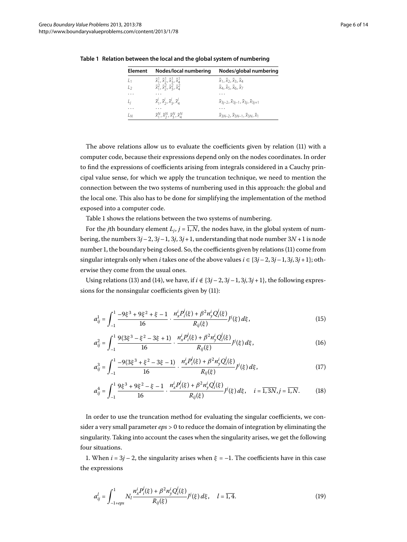| Element | Nodes/local numbering                                                                                                          | Nodes/global numbering                                                    |
|---------|--------------------------------------------------------------------------------------------------------------------------------|---------------------------------------------------------------------------|
| L1      | $\bar{x}_1^1$ , $\bar{x}_2^1$ , $\bar{x}_3^1$ , $\bar{x}_4^1$<br>$\bar{x}_1^2$ , $\bar{x}_2^2$ , $\bar{x}_3^2$ , $\bar{x}_4^2$ | $X_1, X_2, X_3, X_4$                                                      |
| Lэ      |                                                                                                                                | $\overline{X}_4$ , $\overline{X}_5$ , $\overline{X}_6$ , $\overline{X}_7$ |
| .       |                                                                                                                                |                                                                           |
|         | $\overline{x}_1^j$ , $\overline{x}_2^j$ , $\overline{x}_3^j$ , $\overline{x}_4^j$                                              | $\bar{x}_{3j-2}, \bar{x}_{3j-1}, \bar{x}_{3j}, \bar{x}_{3j+1}$            |
| .       | .                                                                                                                              | .                                                                         |
| Lм      | $\bar{x}_1^N, \bar{x}_2^N, \bar{x}_3^N, \bar{x}_4^N$                                                                           | $X_3N-2, X_3N-1, X_3N, X_1$                                               |

<span id="page-5-0"></span>**Table 1 Relation between the local and the global system of numbering**

The above relations allow us to evaluate the coefficients given by relation  $(11)$  with a computer code, because their expressions depend only on the nodes coordinates. In order to find the expressions of coefficients arising from integrals considered in a Cauchy principal value sense, for which we apply the truncation technique, we need to mention the connection between the two systems of numbering used in this approach: the global and the local one. This also has to be done for simplifying the implementation of the method exposed into a computer code.

Table 1 shows the relations between the two systems of numbering.

For the *j*th boundary element  $L_i$ ,  $j = \overline{1, N}$ , the nodes have, in the global system of numbering, the numbers  $3j-2$ ,  $3j-1$ ,  $3j$ ,  $3j+1$ , understanding that node number  $3N+1$  is node number 1, the boundary being closed. So, the coefficients given by relations (11) come from singular integrals only when *i* takes one of the above values  $i \in \{3j-2, 3j-1, 3j, 3j+1\}$ ; otherwise they come from the usual ones.

Using relations (13[\)](#page-4-0) and [\(](#page-4-1)14), we have, if  $i \notin \{3j-2, 3j-1, 3j, 3j+1\}$ , the following expressions for the nonsingular coefficients given by  $(11)$  $(11)$ :

$$
a_{ij}^1 = \int_{-1}^1 \frac{-9\xi^3 + 9\xi^2 + \xi - 1}{16} \cdot \frac{n_x^i P_i'(\xi) + \beta^2 n_y^i Q_i'(\xi)}{R_{ij}(\xi)} p^i(\xi) d\xi,
$$
 (15)

$$
a_{ij}^2 = \int_{-1}^1 \frac{9(3\xi^3 - \xi^2 - 3\xi + 1)}{16} \cdot \frac{n_x^i P_i^j(\xi) + \beta^2 n_y^i Q_i^j(\xi)}{R_{ij}(\xi)} p^j(\xi) d\xi,
$$
 (16)

$$
a_{ij}^3 = \int_{-1}^1 \frac{-9(3\xi^3 + \xi^2 - 3\xi - 1)}{16} \cdot \frac{n_x^i P_i'(\xi) + \beta^2 n_y^i Q_i'(\xi)}{R_{ij}(\xi)} p^i(\xi) d\xi,
$$
(17)

<span id="page-5-1"></span>
$$
a_{ij}^4 = \int_{-1}^1 \frac{9\xi^3 + 9\xi^2 - \xi - 1}{16} \cdot \frac{n_x^i P_i^j(\xi) + \beta^2 n_y^i Q_i^j(\xi)}{R_{ij}(\xi)} J^j(\xi) d\xi, \quad i = \overline{1, 3N}, j = \overline{1, N}. \tag{18}
$$

In order to use the truncation method for evaluating the singular coefficients, we consider a very small parameter *eps* > 0 to reduce the domain of integration by eliminating the singularity. Taking into account the cases when the singularity arises, we get the following four situations.

1. When  $i = 3j - 2$ , the singularity arises when  $\xi = -1$ . The coefficients have in this case the expressions

$$
a_{ij}^l = \int_{-1+eps}^1 N_l \frac{n_x^i P_i^j(\xi) + \beta^2 n_y^i Q_i^j(\xi)}{R_{ij}(\xi)} J^j(\xi) d\xi, \quad l = \overline{1, 4}.
$$
 (19)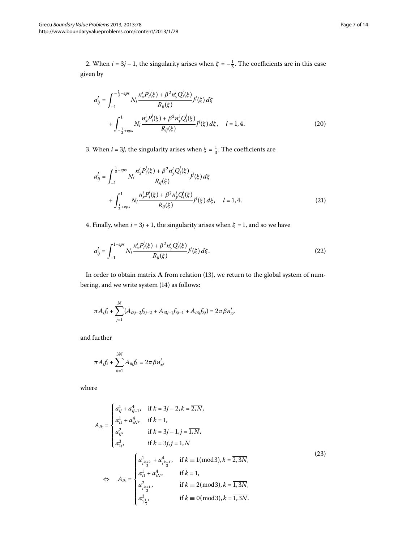2. When  $i = 3j - 1$ , the singularity arises when  $\xi = -\frac{1}{3}$ . The coefficients are in this case given by

$$
a_{ij}^l = \int_{-1}^{-\frac{1}{3} - \epsilon ps} N_l \frac{n_x^i P_i^j(\xi) + \beta^2 n_y^i Q_i^j(\xi)}{R_{ij}(\xi)} J^j(\xi) d\xi
$$
  
+ 
$$
\int_{-\frac{1}{3} + \epsilon ps}^1 N_l \frac{n_x^i P_i^j(\xi) + \beta^2 n_y^i Q_i^j(\xi)}{R_{ij}(\xi)} J^j(\xi) d\xi, \quad l = \overline{1, 4}.
$$
 (20)

3. When  $i = 3j$ , the singularity arises when  $\xi = \frac{1}{3}$ . The coefficients are

<span id="page-6-0"></span>
$$
a_{ij}^l = \int_{-1}^{\frac{1}{3} - \epsilon ps} N_l \frac{n_x^i P_i^j(\xi) + \beta^2 n_y^i Q_i^j(\xi)}{R_{ij}(\xi)} J^j(\xi) d\xi
$$
  
+ 
$$
\int_{\frac{1}{3} + \epsilon ps}^1 N_l \frac{n_x^i P_i^j(\xi) + \beta^2 n_y^i Q_i^j(\xi)}{R_{ij}(\xi)} J^j(\xi) d\xi, \quad l = \overline{1, 4}.
$$
 (21)

4. Finally, when  $i = 3j + 1$ , the singularity arises when  $\xi = 1$ , and so we have

$$
a_{ij}^l = \int_{-1}^{1-\epsilon ps} N_l \frac{n_x^i P_i^j(\xi) + \beta^2 n_y^i Q_i^j(\xi)}{R_{ij}(\xi)} J^j(\xi) d\xi.
$$
 (22)

In order to obtain matrix A from relation (13[\)](#page-4-0), we return to the global system of num-bering, and we write system (14[\)](#page-4-1) as follows:

$$
\pi A_i f_i + \sum_{j=1}^N (A_{i3j-2} f_{3j-2} + A_{i3j-1} f_{3j-1} + A_{i3j} f_{3j}) = 2\pi \beta n_x^i,
$$

and further

$$
\pi A_i f_i + \sum_{k=1}^{3N} A_{ik} f_k = 2\pi \beta n_x^i,
$$

where

$$
A_{ik} = \begin{cases} a_{ij}^1 + a_{ij-1}^4, & \text{if } k = 3j - 2, k = \overline{2, N}, \\ a_{i1}^1 + a_{iN}^4, & \text{if } k = 1, \\ a_{ij}^2, & \text{if } k = 3j - 1, j = \overline{1, N}, \\ a_{ij}^3, & \text{if } k = 3j, j = \overline{1, N} \end{cases}
$$
  

$$
\Leftrightarrow A_{ik} = \begin{cases} a_{\frac{k+2}{3}}^1 + a_{\frac{k+1}{3}}^4, & \text{if } k = 1 \text{ (mod 3)}, k = \overline{2, 3N}, \\ a_{i1}^1 + a_{iN}^4, & \text{if } k = 1, \\ a_{i1}^2 + a_{iN}^4, & \text{if } k = 1, \\ a_{\frac{k+1}{3}}^2, & \text{if } k \equiv 2 \text{ (mod 3)}, k = \overline{1, 3N}, \\ a_{\frac{1}{3}}^3, & \text{if } k \equiv 0 \text{ (mod 3)}, k = \overline{1, 3N}. \end{cases}
$$
  
(23)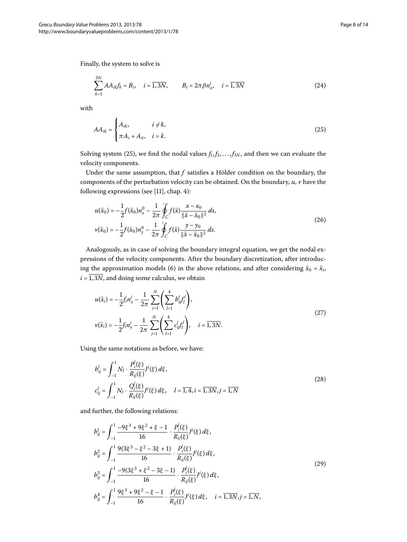Finally, the system to solve is

<span id="page-7-0"></span> $\lambda$ 

$$
\sum_{k=1}^{3N} AA_{ik}f_k = B_i, \quad i = \overline{1,3N}, \qquad B_i = 2\pi \beta n_x^i, \quad i = \overline{1,3N}
$$
 (24)

with

$$
AA_{ik} = \begin{cases} A_{ik}, & i \neq k, \\ \pi A_i + A_{ii}, & i = k. \end{cases}
$$
 (25)

Solving system (25[\)](#page-7-0), we find the nodal values  $f_1, f_2, \ldots, f_{3N}$ , and then we can evaluate the velocity components.

Under the same assumption, that *f* satisfies a Hölder condition on the boundary, the components of the perturbation velocity can be obtained. On the boundary, *u*, *v* have the following expressions (see  $[11]$  $[11]$ , chap. 4):

$$
u(\bar{x}_0) = -\frac{1}{2}f(\bar{x}_0)n_x^0 - \frac{1}{2\pi} \oint_C f(\bar{x}) \frac{x - x_0}{\|\bar{x} - \bar{x}_0\|^2} ds,
$$
  

$$
v(\bar{x}_0) = -\frac{1}{2}f(\bar{x}_0)n_y^0 - \frac{1}{2\pi} \oint_C f(\bar{x}) \frac{y - y_0}{\|\bar{x} - \bar{x}_0\|^2} ds.
$$
 (26)

Analogously, as in case of solving the boundary integral equation, we get the nodal expressions of the velocity components. After the boundary discretization, after introducing the approximation models (6) in the above relations, and after considering  $\bar{x}_0 = \bar{x}_i$ ,  $i = \overline{1, 3N}$ , and doing some calculus, we obtain

<span id="page-7-2"></span>
$$
u(\bar{x}_i) = -\frac{1}{2} f_i n_x^i - \frac{1}{2\pi} \sum_{j=1}^N \left( \sum_{l=1}^4 b_{ij}^l f_l^j \right),
$$
  

$$
v(\bar{x}_i) = -\frac{1}{2} f_i n_y^i - \frac{1}{2\pi} \sum_{j=1}^N \left( \sum_{l=1}^4 c_{ij}^l f_l^j \right), \quad i = \overline{1, 3N}.
$$
 (27)

Using the same notations as before, we have:

$$
b_{ij}^l = \int_{-1}^1 N_l \cdot \frac{P_i^j(\xi)}{R_{ij}(\xi)} J^j(\xi) d\xi,
$$
  
\n
$$
c_{ij}^l = \int_{-1}^1 N_l \cdot \frac{Q_i^j(\xi)}{R_{ij}(\xi)} J^j(\xi) d\xi, \quad l = \overline{1, 4}, i = \overline{1, 3N}, j = \overline{1, N}
$$
\n(28)

and further, the following relations:

<span id="page-7-1"></span>
$$
b_{ij}^{1} = \int_{-1}^{1} \frac{-9\xi^{3} + 9\xi^{2} + \xi - 1}{16} \cdot \frac{P_{i}^{j}(\xi)}{R_{ij}(\xi)} J^{j}(\xi) d\xi,
$$
  
\n
$$
b_{ij}^{2} = \int_{-1}^{1} \frac{9(3\xi^{3} - \xi^{2} - 3\xi + 1)}{16} \cdot \frac{P_{i}^{j}(\xi)}{R_{ij}(\xi)} J^{j}(\xi) d\xi,
$$
  
\n
$$
b_{ij}^{3} = \int_{-1}^{1} \frac{-9(3\xi^{3} + \xi^{2} - 3\xi - 1)}{16} \cdot \frac{P_{i}^{j}(\xi)}{R_{ij}(\xi)} J^{j}(\xi) d\xi,
$$
  
\n
$$
b_{ij}^{4} = \int_{-1}^{1} \frac{9\xi^{3} + 9\xi^{2} - \xi - 1}{16} \cdot \frac{P_{i}^{j}(\xi)}{R_{ij}(\xi)} J^{j}(\xi) d\xi, \quad i = \overline{1, 3N}, j = \overline{1, N},
$$
\n(29)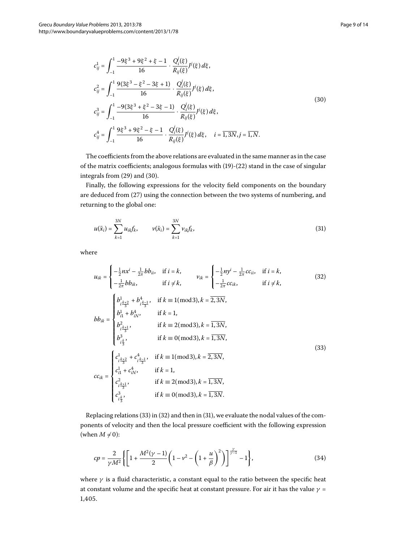<span id="page-8-0"></span>
$$
c_{ij}^{1} = \int_{-1}^{1} \frac{-9\xi^{3} + 9\xi^{2} + \xi - 1}{16} \cdot \frac{Q_{i}^{j}(\xi)}{R_{ij}(\xi)} J^{j}(\xi) d\xi,
$$
  
\n
$$
c_{ij}^{2} = \int_{-1}^{1} \frac{9(3\xi^{3} - \xi^{2} - 3\xi + 1)}{16} \cdot \frac{Q_{i}^{j}(\xi)}{R_{ij}(\xi)} J^{j}(\xi) d\xi,
$$
  
\n
$$
c_{ij}^{3} = \int_{-1}^{1} \frac{-9(3\xi^{3} + \xi^{2} - 3\xi - 1)}{16} \cdot \frac{Q_{i}^{j}(\xi)}{R_{ij}(\xi)} J^{j}(\xi) d\xi,
$$
  
\n
$$
c_{ij}^{4} = \int_{-1}^{1} \frac{9\xi^{3} + 9\xi^{2} - \xi - 1}{16} \cdot \frac{Q_{i}^{j}(\xi)}{R_{ij}(\xi)} J^{j}(\xi) d\xi, \quad i = \overline{1, 3N}, j = \overline{1, N}.
$$
\n(30)

The coefficients from the above relations are evaluated in the same manner as in the case of the matrix coefficients; analogous formulas with  $(19)-(22)$  $(19)-(22)$  stand in the case of singular integrals from  $(29)$  and  $(30)$ .

Finally, the following expressions for the velocity field components on the boundary are deduced from (27[\)](#page-7-2) using the connection between the two systems of numbering, and returning to the global one:

<span id="page-8-3"></span><span id="page-8-2"></span>
$$
u(\bar{x}_i) = \sum_{k=1}^{3N} u_{ik} f_k, \qquad v(\bar{x}_i) = \sum_{k=1}^{3N} v_{ik} f_k,
$$
 (31)

where

<span id="page-8-1"></span>
$$
u_{ik} = \begin{cases}\n-\frac{1}{2}nx^{i} - \frac{1}{2\pi}bb_{ii}, & \text{if } i = k, \\
-\frac{1}{2\pi}bb_{ik}, & \text{if } i \neq k,\n\end{cases} \quad v_{ik} = \begin{cases}\n-\frac{1}{2}ny^{i} - \frac{1}{2\pi}cc_{ii}, & \text{if } i = k, \\
-\frac{1}{2\pi}cc_{ik}, & \text{if } i \neq k,\n\end{cases} \quad (32)
$$
\n
$$
bb_{ik} = \begin{cases}\nb^{1}_{i} + b^{2}_{i} + b^{4}_{i} + \frac{1}{3}, & \text{if } k = 1 (\text{mod}3), k = 2, 3N, \\
b^{1}_{i} + b^{4}_{i} + b^{4}_{i} + \frac{1}{3}, & \text{if } k = 1, \\
b^{2}_{i} + b^{4}_{i} + b^{4}_{i} + \frac{1}{3}, & \text{if } k = 2 (\text{mod}3), k = \overline{1, 3N}, \\
b^{3}_{i} + b^{5}_{i} + \frac{1}{3}, & \text{if } k = 0 (\text{mod}3), k = \overline{1, 3N}, \\
b^{3}_{i} + b^{4}_{i} + \frac{1}{3}, & \text{if } k = 1 (\text{mod}3), k = \overline{2, 3N}, \\
c^{1}_{i} + c^{4}_{i} + \frac{1}{3}, & \text{if } k = 1, \\
c^{1}_{i} + c^{4}_{i} + \frac{1}{3}, & \text{if } k = 1, \\
c^{2}_{i} + \frac{1}{3}, & \text{if } k = 2 (\text{mod}3), k = \overline{1, 3N}, \\
c^{3}_{i} + \frac{1}{3}, & \text{if } k = 0 (\text{mod}3), k = \overline{1, 3N}.\n\end{cases} \quad (33)
$$

Replacing relations  $(33)$  $(33)$  in  $(32)$  and then in  $(31)$ , we evaluate the nodal values of the components of velocity and then the local pressure coefficient with the following expression (when  $M \neq 0$ ):

$$
cp = \frac{2}{\gamma M^2} \left\{ \left[ 1 + \frac{M^2(\gamma - 1)}{2} \left( 1 - \nu^2 - \left( 1 + \frac{u}{\beta} \right)^2 \right) \right]^{\frac{\gamma}{\gamma - 1}} - 1 \right\},\tag{34}
$$

where  $\gamma$  is a fluid characteristic, a constant equal to the ratio between the specific heat at constant volume and the specific heat at constant pressure. For air it has the value *γ* = 1,405.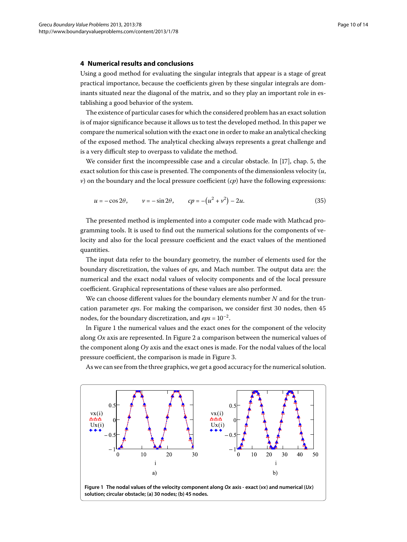#### **4 Numerical results and conclusions**

Using a good method for evaluating the singular integrals that appear is a stage of great practical importance, because the coefficients given by these singular integrals are dominants situated near the diagonal of the matrix, and so they play an important role in establishing a good behavior of the system.

The existence of particular cases for which the considered problem has an exact solution is of major significance because it allows us to test the developed method. In this paper we compare the numerical solution with the exact one in order to make an analytical checking of the exposed method. The analytical checking always represents a great challenge and is a very difficult step to overpass to validate the method.

We consider first the incompressible case and a circular obstacle. In  $[17]$  $[17]$ , chap. 5, the exact solution for this case is presented. The components of the dimensionless velocity (*u*, *v*) on the boundary and the local pressure coefficient  $(cp)$  have the following expressions:

$$
u = -\cos 2\theta
$$
,  $v = -\sin 2\theta$ ,  $cp = -(u^2 + v^2) - 2u$ . (35)

The presented method is implemented into a computer code made with Mathcad programming tools. It is used to find out the numerical solutions for the components of velocity and also for the local pressure coefficient and the exact values of the mentioned quantities.

The input data refer to the boundary geometry, the number of elements used for the boundary discretization, the values of *eps*, and Mach number. The output data are: the numerical and the exact nodal values of velocity components and of the local pressure coefficient. Graphical representations of these values are also performed.

We can choose different values for the boundary elements number *N* and for the truncation parameter *eps*. For making the comparison, we consider first 30 nodes, then 45 nodes, for the boundary discretization, and  $eps = 10^{-2}$ .

In Figure 1 the numerical values and the exact ones for the component of the velocity along *Ox* axis are represented. In Figure 2 a comparison between the numerical values of the component along *Oy* axis and the exact ones is made. For the nodal values of the local pressure coefficient, the comparison is made in Figure 3[.](#page-10-1)

<span id="page-9-0"></span>As we can see from the three graphics, we get a good accuracy for the numerical solution.



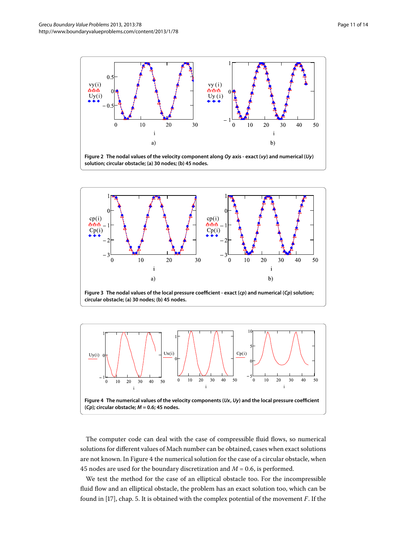<span id="page-10-0"></span>

<span id="page-10-1"></span>

<span id="page-10-2"></span>**circular obstacle; (a) 30 nodes; (b) 45 nodes.**



The computer code can deal with the case of compressible fluid flows, so numerical solutions for different values of Mach number can be obtained, cases when exact solutions are not known. In Figure 4 the numerical solution for the case of a circular obstacle, when 45 nodes are used for the boundary discretization and  $M = 0.6$ , is performed.

We test the method for the case of an elliptical obstacle too. For the incompressible fluid flow and an elliptical obstacle, the problem has an exact solution too, which can be found in [\[](#page-13-1)17], chap. 5. It is obtained with the complex potential of the movement *F*. If the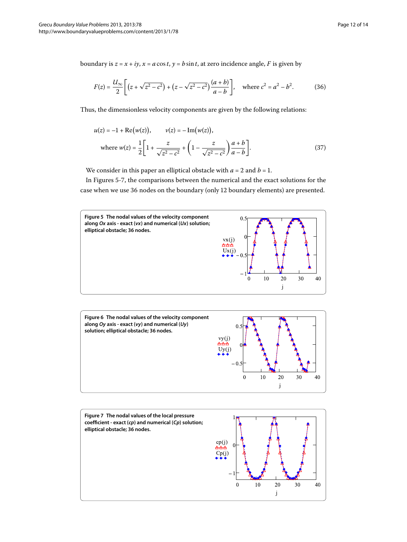boundary is  $z = x + iy$ ,  $x = a \cos t$ ,  $y = b \sin t$ , at zero incidence angle, F is given by

$$
F(z) = \frac{U_{\infty}}{2} \left[ \left( z + \sqrt{z^2 - c^2} \right) + \left( z - \sqrt{z^2 - c^2} \right) \frac{(a+b)}{a-b} \right], \quad \text{where } c^2 = a^2 - b^2. \tag{36}
$$

Thus, the dimensionless velocity components are given by the following relations:

$$
u(z) = -1 + \text{Re}(w(z)), \qquad v(z) = -\text{Im}(w(z)),
$$
  
where  $w(z) = \frac{1}{2} \left[ 1 + \frac{z}{\sqrt{z^2 - c^2}} + \left( 1 - \frac{z}{\sqrt{z^2 - c^2}} \right) \frac{a + b}{a - b} \right].$  (37)

<span id="page-11-0"></span>We consider in this paper an elliptical obstacle with  $a = 2$  and  $b = 1$ .

In Figures 5[-](#page-11-1)7, the comparisons between the numerical and the exact solutions for the case when we use 36 nodes on the boundary (only 12 boundary elements) are presented.





<span id="page-11-1"></span>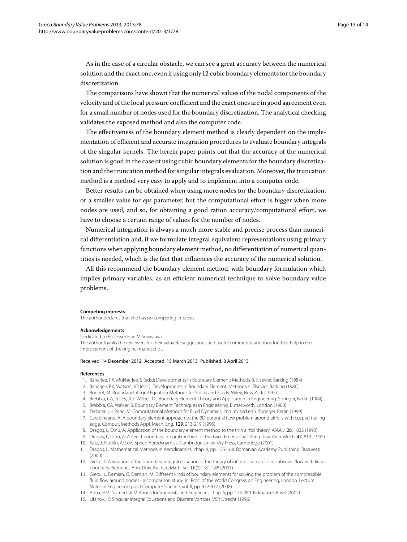As in the case of a circular obstacle, we can see a great accuracy between the numerical solution and the exact one, even if using only 12 cubic boundary elements for the boundary discretization.

The comparisons have shown that the numerical values of the nodal components of the velocity and of the local pressure coefficient and the exact ones are in good agreement even for a small number of nodes used for the boundary discretization. The analytical checking validates the exposed method and also the computer code.

The effectiveness of the boundary element method is clearly dependent on the implementation of efficient and accurate integration procedures to evaluate boundary integrals of the singular kernels. The herein paper points out that the accuracy of the numerical solution is good in the case of using cubic boundary elements for the boundary discretization and the truncation method for singular integrals evaluation. Moreover, the truncation method is a method very easy to apply and to implement into a computer code.

Better results can be obtained when using more nodes for the boundary discretization, or a smaller value for *eps* parameter, but the computational effort is bigger when more nodes are used, and so, for obtaining a good ration accuracy/computational effort, we have to choose a certain range of values for the number of nodes.

Numerical integration is always a much more stable and precise process than numerical differentiation and, if we formulate integral equivalent representations using primary functions when applying boundary element method, no differentiation of numerical quantities is needed, which is the fact that influences the accuracy of the numerical solution.

All this recommend the boundary element method, with boundary formulation which implies primary variables, as an efficient numerical technique to solve boundary value problems.

#### **Competing interests**

<span id="page-12-0"></span>The author declares that she has no competing interests.

#### <span id="page-12-10"></span>**Acknowledgements**

#### <span id="page-12-11"></span>Dedicated to Professor Hari M Srivastava.

<span id="page-12-2"></span><span id="page-12-1"></span>The author thanks the reviewers for their valuable suggestions and useful comments, and thus for their help in the improvement of the original manuscript.

#### <span id="page-12-3"></span>Received: 14 December 2012 Accepted: 15 March 2013 Published: 8 April 2013

#### <span id="page-12-5"></span><span id="page-12-4"></span>**References**

- 1. Banarjee, PK, Mukherjee, S (eds.): Developments in Boundary Element: Methods-3. Elsevier, Barking (1984)
- 2. Banarjee, PK, Watson, JO (eds.): Developments in Boundary Element: Methods-4. Elsevier, Barking (1986)
- 3. Bonnet, M: Boundary Integral Equation Methods for Solids and Fluids. Wiley, New York (1995)
- <span id="page-12-6"></span>4. Brebbia, CA, Telles, JCF, Wobel, LC: Boundary Element Theory and Application in Engineering. Springer, Berlin (1984)
- 5. Brebbia, CA, Walker, S: Boundary Element Techniques in Engineering. Butterworth, London (1980)
- <span id="page-12-7"></span>6. Ferziger, JH, Peric, M: Computational Methods for Fluid Dynamics, 2nd revised edn. Springer, Berlin (1999)
- 7. Carabineanu, A: A boundary element approach to the 2D potential flow problem around airfoils with cusped trailing edge. Comput. Methods Appl. Mech. Eng. 129, 213-219 (1996)
- 8. Dragos, L, Dinu, A: Application of the boundary element method to the thin airfoil theory. AIAA J. 28, 1822 (1990)
- <span id="page-12-9"></span><span id="page-12-8"></span>9. Dragoş, L, Dinu, A: A direct boundary integral method for the two-dimensional lifting flow. Arch. Mech. 47, 813 (1995) 10. Katz, J, Plotkin, A: Low Speed Aerodynamics. Cambridge University Press, Cambridge (2001)
- 11. Dragoș, L: Mathematical Methods in Aerodinamics, chap. 4, pp. 125-168. Romanian Academy Publishing, București (2000)
- 12. Grecu, L: A solution of the boundary integral equation of the theory of infinite span airfoil in subsonic flow with linear boundary elements. Ann. Univ. Buchar., Math. Ser. LII(2), 181-188 (2003)
- 13. Grecu, L, Demian, G, Demian, M: Different kinds of boundary elements for solving the problem of the compressible fluid flow around bodies - a comparison study. In: Proc. of the World Congress on Engineering, London. Lecture Notes in Engineering and Computer Science, vol. II, pp. 972-977 (2008)
- 14. Antia, HM: Numerical Methods for Scientists and Engineers, chap. 6, pp. 175-280. Birkhäuser, Basel (2002)
- 15. Lifanov, IK: Singular Integral Equations and Discrete Vortices. VSP, Utrecht (1996)